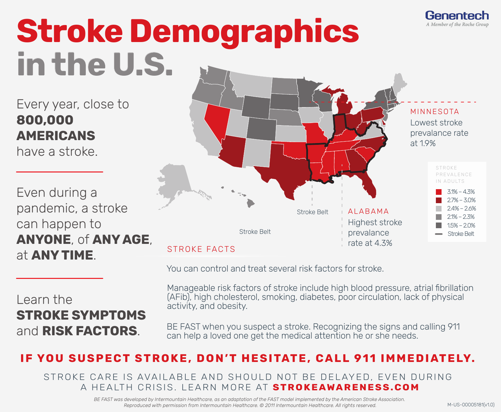

## **Stroke Demographics in the U.S.**

Every year, close to **800,000 AMERICANS**

have a stroke.

Even during a pandemic, a stroke can happen to **ANYONE**, of **ANY AGE**, at **ANY TIME**.

## Learn the **STROKE SYMPTOMS** and **RISK FACTORS**.



You can control and treat several risk factors for stroke.

Manageable risk factors of stroke include high blood pressure, atrial fibrillation (AFib), high cholesterol, smoking, diabetes, poor circulation, lack of physical activity, and obesity.

BE FAST when you suspect a stroke. Recognizing the signs and calling 911 can help a loved one get the medical attention he or she needs.

## **IF YOU SUSPECT STROKE, DON'T HESITATE, CALL 911 IMMEDIATELY.**

STROKE CARE IS AVAILABLE AND SHOULD NOT BE DELAYED, EVEN DURING A HEALTH CRISIS. LEARN MORE AT **STROKEAWARENESS.COM**

> *BE FAST was developed by Intermountain Healthcare, as an adaptation of the FAST model implemented by the American Stroke Association.*  Reproduced with permission from Intermountain Healthcare. © 2011 Intermountain Healthcare. All rights reserved. M-US-00005181(v1.0)